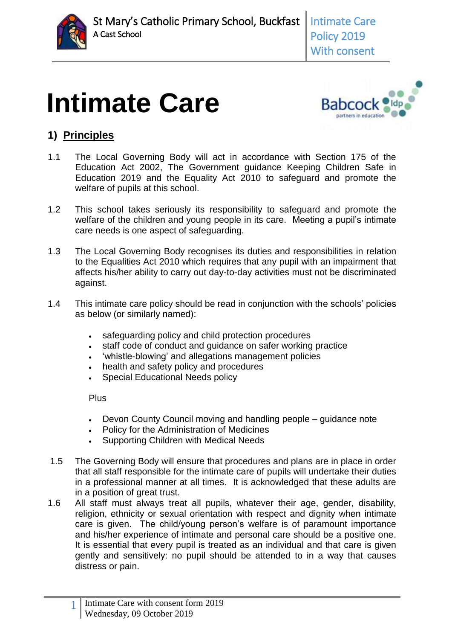

# **Intimate Care**



# **1) Principles**

- 1.1 The Local Governing Body will act in accordance with Section 175 of the Education Act 2002, The Government guidance Keeping Children Safe in Education 2019 and the Equality Act 2010 to safeguard and promote the welfare of pupils at this school.
- 1.2 This school takes seriously its responsibility to safeguard and promote the welfare of the children and young people in its care. Meeting a pupil's intimate care needs is one aspect of safeguarding.
- 1.3 The Local Governing Body recognises its duties and responsibilities in relation to the Equalities Act 2010 which requires that any pupil with an impairment that affects his/her ability to carry out day-to-day activities must not be discriminated against.
- 1.4 This intimate care policy should be read in conjunction with the schools' policies as below (or similarly named):
	- safeguarding policy and child protection procedures
	- staff code of conduct and guidance on safer working practice
	- 'whistle-blowing' and allegations management policies
	- health and safety policy and procedures
	- Special Educational Needs policy

Plus

- Devon County Council moving and handling people guidance note
- Policy for the Administration of Medicines
- Supporting Children with Medical Needs
- 1.5 The Governing Body will ensure that procedures and plans are in place in order that all staff responsible for the intimate care of pupils will undertake their duties in a professional manner at all times. It is acknowledged that these adults are in a position of great trust.
- 1.6 All staff must always treat all pupils, whatever their age, gender, disability, religion, ethnicity or sexual orientation with respect and dignity when intimate care is given. The child/young person's welfare is of paramount importance and his/her experience of intimate and personal care should be a positive one. It is essential that every pupil is treated as an individual and that care is given gently and sensitively: no pupil should be attended to in a way that causes distress or pain.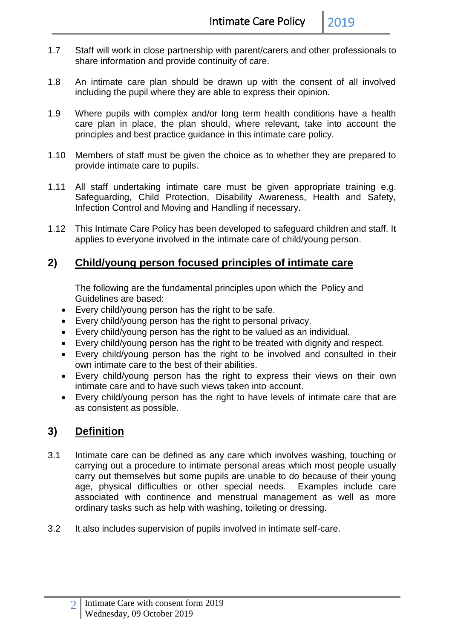- 1.7 Staff will work in close partnership with parent/carers and other professionals to share information and provide continuity of care.
- 1.8 An intimate care plan should be drawn up with the consent of all involved including the pupil where they are able to express their opinion.
- 1.9 Where pupils with complex and/or long term health conditions have a health care plan in place, the plan should, where relevant, take into account the principles and best practice guidance in this intimate care policy.
- 1.10 Members of staff must be given the choice as to whether they are prepared to provide intimate care to pupils.
- 1.11 All staff undertaking intimate care must be given appropriate training e.g. Safeguarding, Child Protection, Disability Awareness, Health and Safety, Infection Control and Moving and Handling if necessary.
- 1.12 This Intimate Care Policy has been developed to safeguard children and staff. It applies to everyone involved in the intimate care of child/young person.

### **2) Child/young person focused principles of intimate care**

The following are the fundamental principles upon which the Policy and Guidelines are based:

- Every child/young person has the right to be safe.
- Every child/young person has the right to personal privacy.
- Every child/young person has the right to be valued as an individual.
- Every child/young person has the right to be treated with dignity and respect.
- Every child/young person has the right to be involved and consulted in their own intimate care to the best of their abilities.
- Every child/young person has the right to express their views on their own intimate care and to have such views taken into account.
- Every child/young person has the right to have levels of intimate care that are as consistent as possible.

#### **3) Definition**

- 3.1 Intimate care can be defined as any care which involves washing, touching or carrying out a procedure to intimate personal areas which most people usually carry out themselves but some pupils are unable to do because of their young age, physical difficulties or other special needs. Examples include care associated with continence and menstrual management as well as more ordinary tasks such as help with washing, toileting or dressing.
- 3.2 It also includes supervision of pupils involved in intimate self-care.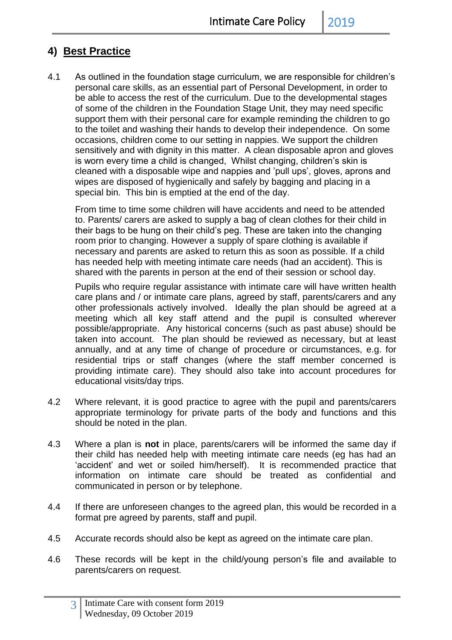## **4) Best Practice**

4.1 As outlined in the foundation stage curriculum, we are responsible for children's personal care skills, as an essential part of Personal Development, in order to be able to access the rest of the curriculum. Due to the developmental stages of some of the children in the Foundation Stage Unit, they may need specific support them with their personal care for example reminding the children to go to the toilet and washing their hands to develop their independence. On some occasions, children come to our setting in nappies. We support the children sensitively and with dignity in this matter. A clean disposable apron and gloves is worn every time a child is changed, Whilst changing, children's skin is cleaned with a disposable wipe and nappies and 'pull ups', gloves, aprons and wipes are disposed of hygienically and safely by bagging and placing in a special bin. This bin is emptied at the end of the day.

From time to time some children will have accidents and need to be attended to. Parents/ carers are asked to supply a bag of clean clothes for their child in their bags to be hung on their child's peg. These are taken into the changing room prior to changing. However a supply of spare clothing is available if necessary and parents are asked to return this as soon as possible. If a child has needed help with meeting intimate care needs (had an accident). This is shared with the parents in person at the end of their session or school day.

Pupils who require regular assistance with intimate care will have written health care plans and / or intimate care plans, agreed by staff, parents/carers and any other professionals actively involved. Ideally the plan should be agreed at a meeting which all key staff attend and the pupil is consulted wherever possible/appropriate. Any historical concerns (such as past abuse) should be taken into account. The plan should be reviewed as necessary, but at least annually, and at any time of change of procedure or circumstances, e.g. for residential trips or staff changes (where the staff member concerned is providing intimate care). They should also take into account procedures for educational visits/day trips.

- 4.2 Where relevant, it is good practice to agree with the pupil and parents/carers appropriate terminology for private parts of the body and functions and this should be noted in the plan.
- 4.3 Where a plan is **not** in place, parents/carers will be informed the same day if their child has needed help with meeting intimate care needs (eg has had an 'accident' and wet or soiled him/herself). It is recommended practice that information on intimate care should be treated as confidential and communicated in person or by telephone.
- 4.4 If there are unforeseen changes to the agreed plan, this would be recorded in a format pre agreed by parents, staff and pupil.
- 4.5 Accurate records should also be kept as agreed on the intimate care plan.
- 4.6 These records will be kept in the child/young person's file and available to parents/carers on request.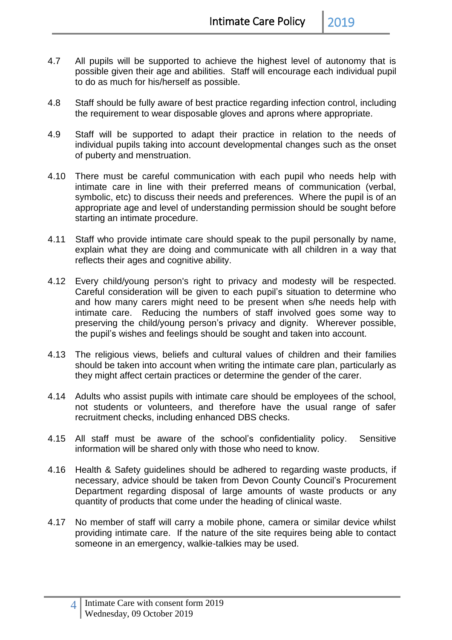- 
- 4.7 All pupils will be supported to achieve the highest level of autonomy that is possible given their age and abilities. Staff will encourage each individual pupil to do as much for his/herself as possible.
- 4.8 Staff should be fully aware of best practice regarding infection control, including the requirement to wear disposable gloves and aprons where appropriate.
- 4.9 Staff will be supported to adapt their practice in relation to the needs of individual pupils taking into account developmental changes such as the onset of puberty and menstruation.
- 4.10 There must be careful communication with each pupil who needs help with intimate care in line with their preferred means of communication (verbal, symbolic, etc) to discuss their needs and preferences. Where the pupil is of an appropriate age and level of understanding permission should be sought before starting an intimate procedure.
- 4.11 Staff who provide intimate care should speak to the pupil personally by name, explain what they are doing and communicate with all children in a way that reflects their ages and cognitive ability.
- 4.12 Every child/young person's right to privacy and modesty will be respected. Careful consideration will be given to each pupil's situation to determine who and how many carers might need to be present when s/he needs help with intimate care. Reducing the numbers of staff involved goes some way to preserving the child/young person's privacy and dignity. Wherever possible, the pupil's wishes and feelings should be sought and taken into account.
- 4.13 The religious views, beliefs and cultural values of children and their families should be taken into account when writing the intimate care plan, particularly as they might affect certain practices or determine the gender of the carer.
- 4.14 Adults who assist pupils with intimate care should be employees of the school, not students or volunteers, and therefore have the usual range of safer recruitment checks, including enhanced DBS checks.
- 4.15 All staff must be aware of the school's confidentiality policy. Sensitive information will be shared only with those who need to know.
- 4.16 Health & Safety guidelines should be adhered to regarding waste products, if necessary, advice should be taken from Devon County Council's Procurement Department regarding disposal of large amounts of waste products or any quantity of products that come under the heading of clinical waste.
- 4.17 No member of staff will carry a mobile phone, camera or similar device whilst providing intimate care. If the nature of the site requires being able to contact someone in an emergency, walkie-talkies may be used.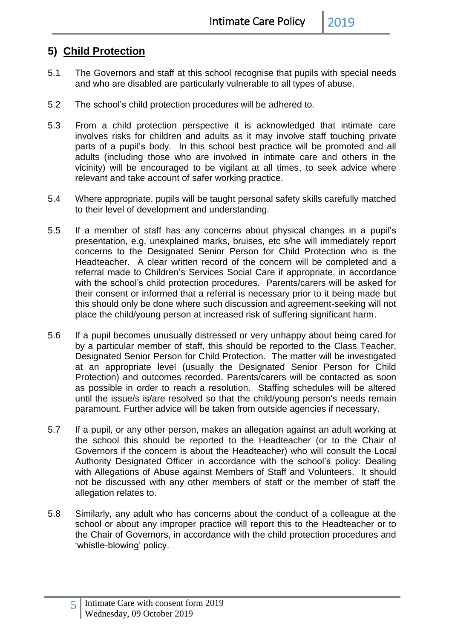### **5) Child Protection**

- 5.1 The Governors and staff at this school recognise that pupils with special needs and who are disabled are particularly vulnerable to all types of abuse.
- 5.2 The school's child protection procedures will be adhered to.
- 5.3 From a child protection perspective it is acknowledged that intimate care involves risks for children and adults as it may involve staff touching private parts of a pupil's body. In this school best practice will be promoted and all adults (including those who are involved in intimate care and others in the vicinity) will be encouraged to be vigilant at all times, to seek advice where relevant and take account of safer working practice.
- 5.4 Where appropriate, pupils will be taught personal safety skills carefully matched to their level of development and understanding.
- 5.5 If a member of staff has any concerns about physical changes in a pupil's presentation, e.g. unexplained marks, bruises, etc s/he will immediately report concerns to the Designated Senior Person for Child Protection who is the Headteacher. A clear written record of the concern will be completed and a referral made to Children's Services Social Care if appropriate, in accordance with the school's child protection procedures. Parents/carers will be asked for their consent or informed that a referral is necessary prior to it being made but this should only be done where such discussion and agreement-seeking will not place the child/young person at increased risk of suffering significant harm.
- 5.6 If a pupil becomes unusually distressed or very unhappy about being cared for by a particular member of staff, this should be reported to the Class Teacher, Designated Senior Person for Child Protection. The matter will be investigated at an appropriate level (usually the Designated Senior Person for Child Protection) and outcomes recorded. Parents/carers will be contacted as soon as possible in order to reach a resolution. Staffing schedules will be altered until the issue/s is/are resolved so that the child/young person's needs remain paramount. Further advice will be taken from outside agencies if necessary.
- 5.7 If a pupil, or any other person, makes an allegation against an adult working at the school this should be reported to the Headteacher (or to the Chair of Governors if the concern is about the Headteacher) who will consult the Local Authority Designated Officer in accordance with the school's policy: Dealing with Allegations of Abuse against Members of Staff and Volunteers. It should not be discussed with any other members of staff or the member of staff the allegation relates to.
- 5.8 Similarly, any adult who has concerns about the conduct of a colleague at the school or about any improper practice will report this to the Headteacher or to the Chair of Governors, in accordance with the child protection procedures and 'whistle-blowing' policy.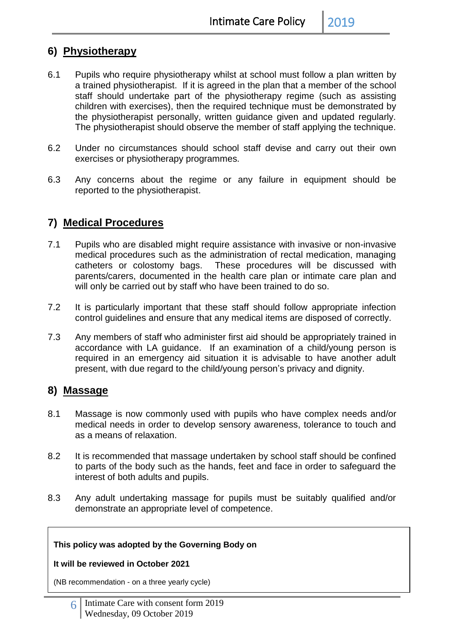#### **6) Physiotherapy**

- 6.1 Pupils who require physiotherapy whilst at school must follow a plan written by a trained physiotherapist. If it is agreed in the plan that a member of the school staff should undertake part of the physiotherapy regime (such as assisting children with exercises), then the required technique must be demonstrated by the physiotherapist personally, written guidance given and updated regularly. The physiotherapist should observe the member of staff applying the technique.
- 6.2 Under no circumstances should school staff devise and carry out their own exercises or physiotherapy programmes.
- 6.3 Any concerns about the regime or any failure in equipment should be reported to the physiotherapist.

### **7) Medical Procedures**

- 7.1 Pupils who are disabled might require assistance with invasive or non-invasive medical procedures such as the administration of rectal medication, managing catheters or colostomy bags. These procedures will be discussed with parents/carers, documented in the health care plan or intimate care plan and will only be carried out by staff who have been trained to do so.
- 7.2 It is particularly important that these staff should follow appropriate infection control guidelines and ensure that any medical items are disposed of correctly.
- 7.3 Any members of staff who administer first aid should be appropriately trained in accordance with LA guidance. If an examination of a child/young person is required in an emergency aid situation it is advisable to have another adult present, with due regard to the child/young person's privacy and dignity.

#### **8) Massage**

- 8.1 Massage is now commonly used with pupils who have complex needs and/or medical needs in order to develop sensory awareness, tolerance to touch and as a means of relaxation.
- 8.2 It is recommended that massage undertaken by school staff should be confined to parts of the body such as the hands, feet and face in order to safeguard the interest of both adults and pupils.
- 8.3 Any adult undertaking massage for pupils must be suitably qualified and/or demonstrate an appropriate level of competence.

#### **This policy was adopted by the Governing Body on**

#### **It will be reviewed in October 2021**

(NB recommendation - on a three yearly cycle)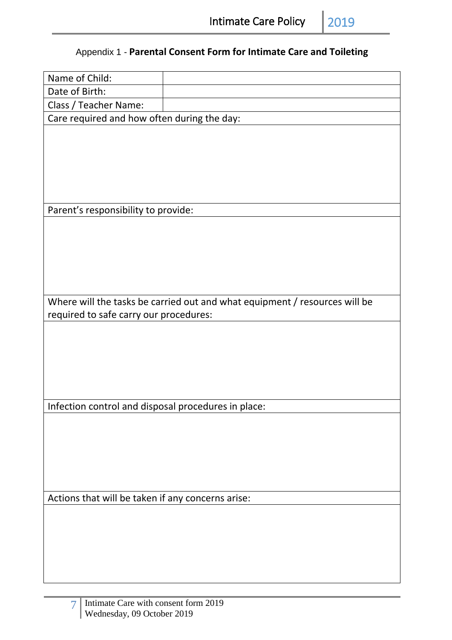# Appendix 1 - **Parental Consent Form for Intimate Care and Toileting**

| Name of Child:                                      |                                                                            |  |  |
|-----------------------------------------------------|----------------------------------------------------------------------------|--|--|
| Date of Birth:                                      |                                                                            |  |  |
| Class / Teacher Name:                               |                                                                            |  |  |
| Care required and how often during the day:         |                                                                            |  |  |
|                                                     |                                                                            |  |  |
|                                                     |                                                                            |  |  |
|                                                     |                                                                            |  |  |
|                                                     |                                                                            |  |  |
|                                                     |                                                                            |  |  |
|                                                     |                                                                            |  |  |
| Parent's responsibility to provide:                 |                                                                            |  |  |
|                                                     |                                                                            |  |  |
|                                                     |                                                                            |  |  |
|                                                     |                                                                            |  |  |
|                                                     |                                                                            |  |  |
|                                                     |                                                                            |  |  |
|                                                     |                                                                            |  |  |
|                                                     |                                                                            |  |  |
|                                                     | Where will the tasks be carried out and what equipment / resources will be |  |  |
| required to safe carry our procedures:              |                                                                            |  |  |
|                                                     |                                                                            |  |  |
|                                                     |                                                                            |  |  |
|                                                     |                                                                            |  |  |
|                                                     |                                                                            |  |  |
|                                                     |                                                                            |  |  |
|                                                     |                                                                            |  |  |
| Infection control and disposal procedures in place: |                                                                            |  |  |
|                                                     |                                                                            |  |  |
|                                                     |                                                                            |  |  |
|                                                     |                                                                            |  |  |
|                                                     |                                                                            |  |  |
|                                                     |                                                                            |  |  |
|                                                     |                                                                            |  |  |
| Actions that will be taken if any concerns arise:   |                                                                            |  |  |
|                                                     |                                                                            |  |  |
|                                                     |                                                                            |  |  |
|                                                     |                                                                            |  |  |
|                                                     |                                                                            |  |  |
|                                                     |                                                                            |  |  |
|                                                     |                                                                            |  |  |
|                                                     |                                                                            |  |  |